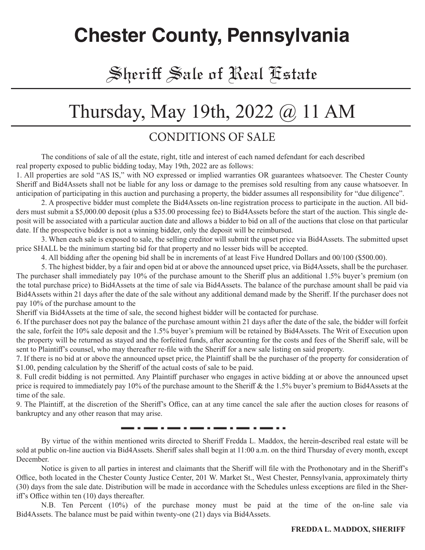### **Chester County, Pennsylvania**

### Sheriff Sale of Real Estate

### Thursday, May 19th, 2022 @ 11 AM

#### CONDITIONS OF SALE

The conditions of sale of all the estate, right, title and interest of each named defendant for each described real property exposed to public bidding today, May 19th, 2022 are as follows:

1. All properties are sold "AS IS," with NO expressed or implied warranties OR guarantees whatsoever. The Chester County Sheriff and Bid4Assets shall not be liable for any loss or damage to the premises sold resulting from any cause whatsoever. In anticipation of participating in this auction and purchasing a property, the bidder assumes all responsibility for "due diligence".

2. A prospective bidder must complete the Bid4Assets on-line registration process to participate in the auction. All bidders must submit a \$5,000.00 deposit (plus a \$35.00 processing fee) to Bid4Assets before the start of the auction. This single deposit will be associated with a particular auction date and allows a bidder to bid on all of the auctions that close on that particular date. If the prospective bidder is not a winning bidder, only the deposit will be reimbursed.

3. When each sale is exposed to sale, the selling creditor will submit the upset price via Bid4Assets. The submitted upset price SHALL be the minimum starting bid for that property and no lesser bids will be accepted.

4. All bidding after the opening bid shall be in increments of at least Five Hundred Dollars and 00/100 (\$500.00).

5. The highest bidder, by a fair and open bid at or above the announced upset price, via Bid4Assets, shall be the purchaser. The purchaser shall immediately pay 10% of the purchase amount to the Sheriff plus an additional 1.5% buyer's premium (on the total purchase price) to Bid4Assets at the time of sale via Bid4Assets. The balance of the purchase amount shall be paid via Bid4Assets within 21 days after the date of the sale without any additional demand made by the Sheriff. If the purchaser does not pay 10% of the purchase amount to the

Sheriff via Bid4Assets at the time of sale, the second highest bidder will be contacted for purchase.

6. If the purchaser does not pay the balance of the purchase amount within 21 days after the date of the sale, the bidder will forfeit the sale, forfeit the 10% sale deposit and the 1.5% buyer's premium will be retained by Bid4Assets. The Writ of Execution upon the property will be returned as stayed and the forfeited funds, after accounting for the costs and fees of the Sheriff sale, will be sent to Plaintiff's counsel, who may thereafter re-file with the Sheriff for a new sale listing on said property.

7. If there is no bid at or above the announced upset price, the Plaintiff shall be the purchaser of the property for consideration of \$1.00, pending calculation by the Sheriff of the actual costs of sale to be paid.

8. Full credit bidding is not permitted. Any Plaintiff purchaser who engages in active bidding at or above the announced upset price is required to immediately pay 10% of the purchase amount to the Sheriff & the 1.5% buyer's premium to Bid4Assets at the time of the sale.

9. The Plaintiff, at the discretion of the Sheriff's Office, can at any time cancel the sale after the auction closes for reasons of bankruptcy and any other reason that may arise.

. . .<del>....</del> . .

By virtue of the within mentioned writs directed to Sheriff Fredda L. Maddox, the herein-described real estate will be sold at public on-line auction via Bid4Assets. Sheriff sales shall begin at 11:00 a.m. on the third Thursday of every month, except December.

Notice is given to all parties in interest and claimants that the Sheriff will file with the Prothonotary and in the Sheriff's Office, both located in the Chester County Justice Center, 201 W. Market St., West Chester, Pennsylvania, approximately thirty (30) days from the sale date. Distribution will be made in accordance with the Schedules unless exceptions are filed in the Sheriff's Office within ten (10) days thereafter.

N.B. Ten Percent (10%) of the purchase money must be paid at the time of the on-line sale via Bid4Assets. The balance must be paid within twenty-one (21) days via Bid4Assets.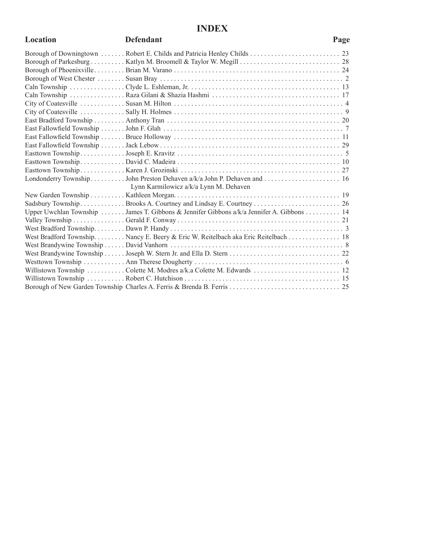#### **INDEX**

#### Borough of Downingtown. . Robert E. Childs and Patricia Henley Childs. . 23 Borough of Parkesburg. . Katlyn M. Broomell & Taylor W. Megill. . 28 Borough of Phoenixville. . Brian M. Varano. . 24 Borough of West Chester. . Susan Bray. . 2 Caln Township. . . Clyde L. Eshleman, Jr.. . 13 Caln Township. . . Raza Gilani & Shazia Hashmi. . 17 City of Coatesville. . . Susan M. Hilton. . . 4 City of Coatesville. . . Sally H. Holmes. . . 9 East Bradford Township. . Anthony Tran. . . 20 East Fallowfield Township. . John F. Glah. . 7 East Fallowfield Township. . Bruce Holloway. . 11 East Fallowfield Township. . Jack Lebow. . 29 Easttown Township. . Joseph E. Kravitz. . 5 Easttown Township. . David C. Madeira. . 10 Easttown Township. . Karen J. Grozinski. . 27 Londonderry Township. . . John Preston Dehaven a/k/a John P. Dehaven and. . 16 Lynn Karmilowicz a/k/a Lynn M. Dehaven New Garden Township. . . Kathleen Morgan. . . . . . . . . . . . . . . . . . . . . . . . . . . . . . . . . . . . . . . . . . . . . . . . 19 Sadsbury Township. . . Brooks A. Courtney and Lindsay E. Courtney. . 26 Upper Uwchlan Township....... James T. Gibbons & Jennifer Gibbons a/k/a Jennifer A. Gibbons.......... 14 Valley Township. . Gerald F. Conway. . 21 West Bradford Township. . Dawn P. Handy. . 3 West Bradford Township. . . . . . . . . Nancy E. Beery & Eric W. Reitelbach aka Eric Reitelbach . . . . . . . . . . . . . 18 West Brandywine Township. . David Vanhorn. . 8 West Brandywine Township. . Joseph W. Stern Jr. and Ella D. Stern. . 22 Westtown Township. . . Ann Therese Dougherty. . 6 Willistown Township. . . Colette M. Modres a/k.a Colette M. Edwards. . 12 Willistown Township. . . Robert C. Hutchison. . . 15 Borough of New Garden Township Charles A. Ferris & Brenda B. Ferris. . 25 Location **Defendant** Page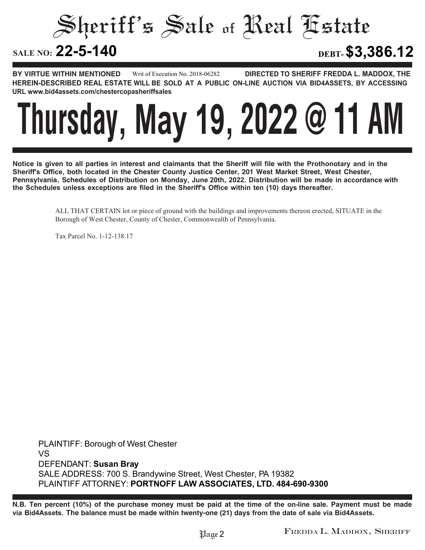Sheriff's Sale of Real Estate

**22-5-140 DEBT-\$3,386.12**

**BY VIRTUE WITHIN MENTIONED DIRECTED TO SHERIFF FREDDA L. MADDOX, THE HEREIN-DESCRIBED REAL ESTATE WILL BE SOLD AT A PUBLIC ON-LINE AUCTION VIA BID4ASSETS, BY ACCESSING URL www.bid4assets.com/chestercopasheriffsales Writ of Execution No. 2018-06282**



**Notice is given to all parties in interest and claimants that the Sheriff will file with the Prothonotary and in the Sheriff's Office, both located in the Chester County Justice Center, 201 West Market Street, West Chester, Pennsylvania, Schedules of Distribution on Monday, June 20th, 2022. Distribution will be made in accordance with the Schedules unless exceptions are filed in the Sheriff's Office within ten (10) days thereafter.**

> ALL THAT CERTAIN lot or piece of ground with the buildings and improvements thereon erected, SITUATE in the Borough of West Chester, County of Chester, Commonwealth of Pennsylvania.

Tax Parcel No. 1-12-138.17

**PLAINTIFF: Borough of West Chester VS DEFENDANT: Susan Bray SALE ADDRESS: 700 S. Brandywine Street, West Chester, PA 19382 PLAINTIFF ATTORNEY: PORTNOFF LAW ASSOCIATES, LTD. 484-690-9300**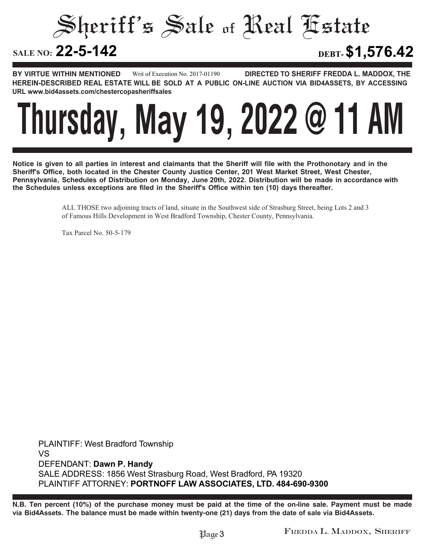Sheriff's Sale of Real Estate

**22-5-142 DEBT-\$1,576.42**

**BY VIRTUE WITHIN MENTIONED DIRECTED TO SHERIFF FREDDA L. MADDOX, THE HEREIN-DESCRIBED REAL ESTATE WILL BE SOLD AT A PUBLIC ON-LINE AUCTION VIA BID4ASSETS, BY ACCESSING URL www.bid4assets.com/chestercopasheriffsales Writ of Execution No. 2017-01190**



**Notice is given to all parties in interest and claimants that the Sheriff will file with the Prothonotary and in the Sheriff's Office, both located in the Chester County Justice Center, 201 West Market Street, West Chester, Pennsylvania, Schedules of Distribution on Monday, June 20th, 2022. Distribution will be made in accordance with the Schedules unless exceptions are filed in the Sheriff's Office within ten (10) days thereafter.**

> ALL THOSE two adjoining tracts of land, situate in the Southwest side of Strasburg Street, being Lots 2 and 3 of Famous Hills Development in West Bradford Township, Chester County, Pennsylvania.

Tax Parcel No. 50-5-179

**PLAINTIFF: West Bradford Township VS DEFENDANT: Dawn P. Handy SALE ADDRESS: 1856 West Strasburg Road, West Bradford, PA 19320 PLAINTIFF ATTORNEY: PORTNOFF LAW ASSOCIATES, LTD. 484-690-9300**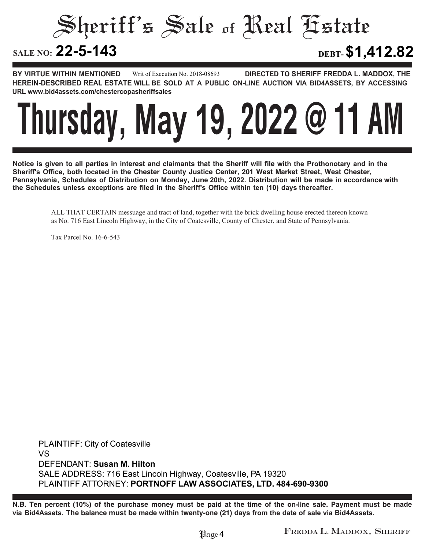Sheriff's Sale of Real Estate

**22-5-143 DEBT-\$1,412.82**

**BY VIRTUE WITHIN MENTIONED DIRECTED TO SHERIFF FREDDA L. MADDOX, THE HEREIN-DESCRIBED REAL ESTATE WILL BE SOLD AT A PUBLIC ON-LINE AUCTION VIA BID4ASSETS, BY ACCESSING URL www.bid4assets.com/chestercopasheriffsales Writ of Execution No. 2018-08693**



**Notice is given to all parties in interest and claimants that the Sheriff will file with the Prothonotary and in the Sheriff's Office, both located in the Chester County Justice Center, 201 West Market Street, West Chester, Pennsylvania, Schedules of Distribution on Monday, June 20th, 2022. Distribution will be made in accordance with the Schedules unless exceptions are filed in the Sheriff's Office within ten (10) days thereafter.**

ALL THAT CERTAIN messuage and tract of land, together with the brick dwelling house erected thereon known as No. 716 East Lincoln Highway, in the City of Coatesville, County of Chester, and State of Pennsylvania.

Tax Parcel No. 16-6-543

**PLAINTIFF: City of Coatesville VS DEFENDANT: Susan M. Hilton SALE ADDRESS: 716 East Lincoln Highway, Coatesville, PA 19320 PLAINTIFF ATTORNEY: PORTNOFF LAW ASSOCIATES, LTD. 484-690-9300**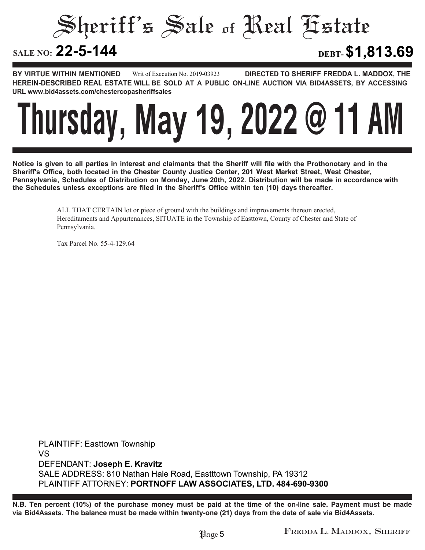Sheriff's Sale of Real Estate

**22-5-144 DEBT-\$1,813.69**

**BY VIRTUE WITHIN MENTIONED DIRECTED TO SHERIFF FREDDA L. MADDOX, THE HEREIN-DESCRIBED REAL ESTATE WILL BE SOLD AT A PUBLIC ON-LINE AUCTION VIA BID4ASSETS, BY ACCESSING URL www.bid4assets.com/chestercopasheriffsales Writ of Execution No. 2019-03923**



**Notice is given to all parties in interest and claimants that the Sheriff will file with the Prothonotary and in the Sheriff's Office, both located in the Chester County Justice Center, 201 West Market Street, West Chester, Pennsylvania, Schedules of Distribution on Monday, June 20th, 2022. Distribution will be made in accordance with the Schedules unless exceptions are filed in the Sheriff's Office within ten (10) days thereafter.**

> ALL THAT CERTAIN lot or piece of ground with the buildings and improvements thereon erected, Hereditaments and Appurtenances, SITUATE in the Township of Easttown, County of Chester and State of Pennsylvania.

Tax Parcel No. 55-4-129.64

**PLAINTIFF: Easttown Township VS DEFENDANT: Joseph E. Kravitz SALE ADDRESS: 810 Nathan Hale Road, Eastttown Township, PA 19312 PLAINTIFF ATTORNEY: PORTNOFF LAW ASSOCIATES, LTD. 484-690-9300**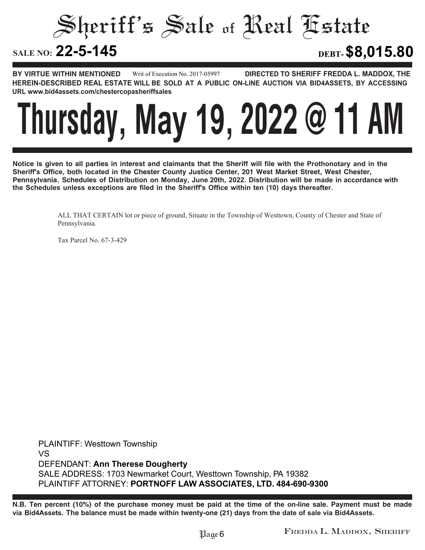Sheriff's Sale of Real Estate

**22-5-145 DEBT-\$8,015.80**

**BY VIRTUE WITHIN MENTIONED DIRECTED TO SHERIFF FREDDA L. MADDOX, THE HEREIN-DESCRIBED REAL ESTATE WILL BE SOLD AT A PUBLIC ON-LINE AUCTION VIA BID4ASSETS, BY ACCESSING URL www.bid4assets.com/chestercopasheriffsales Writ of Execution No. 2017-05997**



**Notice is given to all parties in interest and claimants that the Sheriff will file with the Prothonotary and in the Sheriff's Office, both located in the Chester County Justice Center, 201 West Market Street, West Chester, Pennsylvania, Schedules of Distribution on Monday, June 20th, 2022. Distribution will be made in accordance with the Schedules unless exceptions are filed in the Sheriff's Office within ten (10) days thereafter.**

> ALL THAT CERTAIN lot or piece of ground, Situate in the Township of Westtown, County of Chester and State of Pennsylvania.

Tax Parcel No. 67-3-429

**PLAINTIFF: Westtown Township VS DEFENDANT: Ann Therese Dougherty SALE ADDRESS: 1703 Newmarket Court, Westtown Township, PA 19382 PLAINTIFF ATTORNEY: PORTNOFF LAW ASSOCIATES, LTD. 484-690-9300**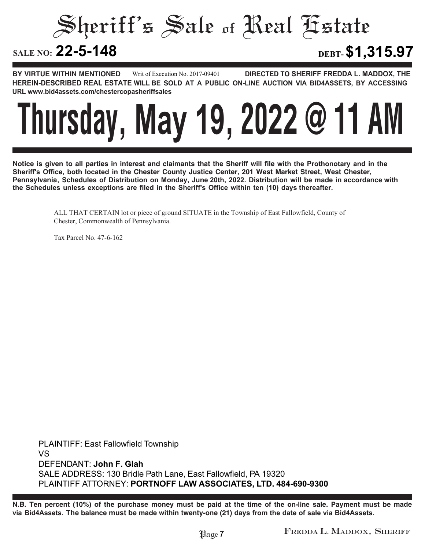Sheriff's Sale of Real Estate

**22-5-148 DEBT-\$1,315.97**

**BY VIRTUE WITHIN MENTIONED DIRECTED TO SHERIFF FREDDA L. MADDOX, THE HEREIN-DESCRIBED REAL ESTATE WILL BE SOLD AT A PUBLIC ON-LINE AUCTION VIA BID4ASSETS, BY ACCESSING URL www.bid4assets.com/chestercopasheriffsales Writ of Execution No. 2017-09401**



**Notice is given to all parties in interest and claimants that the Sheriff will file with the Prothonotary and in the Sheriff's Office, both located in the Chester County Justice Center, 201 West Market Street, West Chester, Pennsylvania, Schedules of Distribution on Monday, June 20th, 2022. Distribution will be made in accordance with the Schedules unless exceptions are filed in the Sheriff's Office within ten (10) days thereafter.**

> ALL THAT CERTAIN lot or piece of ground SITUATE in the Township of East Fallowfield, County of Chester, Commonwealth of Pennsylvania.

Tax Parcel No. 47-6-162

**PLAINTIFF: East Fallowfield Township VS DEFENDANT: John F. Glah SALE ADDRESS: 130 Bridle Path Lane, East Fallowfield, PA 19320 PLAINTIFF ATTORNEY: PORTNOFF LAW ASSOCIATES, LTD. 484-690-9300**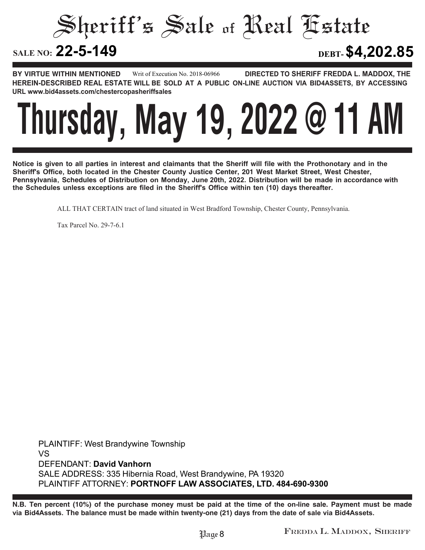Sheriff's Sale of Real Estate

**22-5-149 DEBT-\$4,202.85**

**BY VIRTUE WITHIN MENTIONED DIRECTED TO SHERIFF FREDDA L. MADDOX, THE HEREIN-DESCRIBED REAL ESTATE WILL BE SOLD AT A PUBLIC ON-LINE AUCTION VIA BID4ASSETS, BY ACCESSING URL www.bid4assets.com/chestercopasheriffsales Writ of Execution No. 2018-06966**



**Notice is given to all parties in interest and claimants that the Sheriff will file with the Prothonotary and in the Sheriff's Office, both located in the Chester County Justice Center, 201 West Market Street, West Chester, Pennsylvania, Schedules of Distribution on Monday, June 20th, 2022. Distribution will be made in accordance with the Schedules unless exceptions are filed in the Sheriff's Office within ten (10) days thereafter.**

ALL THAT CERTAIN tract of land situated in West Bradford Township, Chester County, Pennsylvania.

Tax Parcel No. 29-7-6.1

**PLAINTIFF: West Brandywine Township VS DEFENDANT: David Vanhorn SALE ADDRESS: 335 Hibernia Road, West Brandywine, PA 19320 PLAINTIFF ATTORNEY: PORTNOFF LAW ASSOCIATES, LTD. 484-690-9300**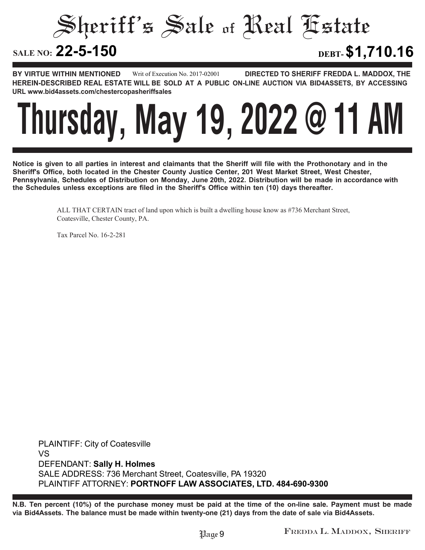Sheriff's Sale of Real Estate

**22-5-150 DEBT-\$1,710.16**

**BY VIRTUE WITHIN MENTIONED DIRECTED TO SHERIFF FREDDA L. MADDOX, THE HEREIN-DESCRIBED REAL ESTATE WILL BE SOLD AT A PUBLIC ON-LINE AUCTION VIA BID4ASSETS, BY ACCESSING URL www.bid4assets.com/chestercopasheriffsales Writ of Execution No. 2017-02001**



**Notice is given to all parties in interest and claimants that the Sheriff will file with the Prothonotary and in the Sheriff's Office, both located in the Chester County Justice Center, 201 West Market Street, West Chester, Pennsylvania, Schedules of Distribution on Monday, June 20th, 2022. Distribution will be made in accordance with the Schedules unless exceptions are filed in the Sheriff's Office within ten (10) days thereafter.**

> ALL THAT CERTAIN tract of land upon which is built a dwelling house know as #736 Merchant Street, Coatesville, Chester County, PA.

Tax Parcel No. 16-2-281

**PLAINTIFF: City of Coatesville VS DEFENDANT: Sally H. Holmes SALE ADDRESS: 736 Merchant Street, Coatesville, PA 19320 PLAINTIFF ATTORNEY: PORTNOFF LAW ASSOCIATES, LTD. 484-690-9300**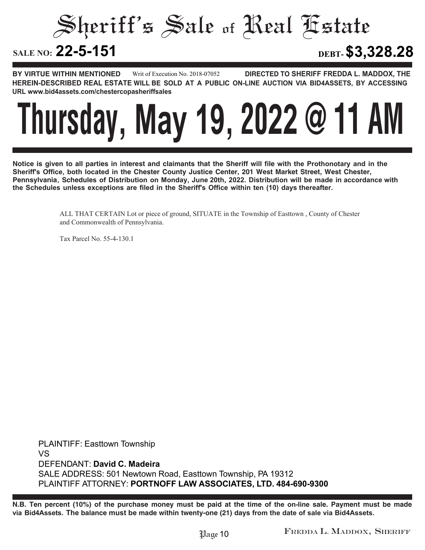Sheriff's Sale of Real Estate SALE NO: 22-5-151 **22-5-151 DEBT-\$3,328.28**

**BY VIRTUE WITHIN MENTIONED DIRECTED TO SHERIFF FREDDA L. MADDOX, THE HEREIN-DESCRIBED REAL ESTATE WILL BE SOLD AT A PUBLIC ON-LINE AUCTION VIA BID4ASSETS, BY ACCESSING URL www.bid4assets.com/chestercopasheriffsales Writ of Execution No. 2018-07052**



**Notice is given to all parties in interest and claimants that the Sheriff will file with the Prothonotary and in the Sheriff's Office, both located in the Chester County Justice Center, 201 West Market Street, West Chester, Pennsylvania, Schedules of Distribution on Monday, June 20th, 2022. Distribution will be made in accordance with the Schedules unless exceptions are filed in the Sheriff's Office within ten (10) days thereafter.**

> ALL THAT CERTAIN Lot or piece of ground, SITUATE in the Township of Easttown , County of Chester and Commonwealth of Pennsylvania.

Tax Parcel No. 55-4-130.1

**PLAINTIFF: Easttown Township VS DEFENDANT: David C. Madeira SALE ADDRESS: 501 Newtown Road, Easttown Township, PA 19312 PLAINTIFF ATTORNEY: PORTNOFF LAW ASSOCIATES, LTD. 484-690-9300**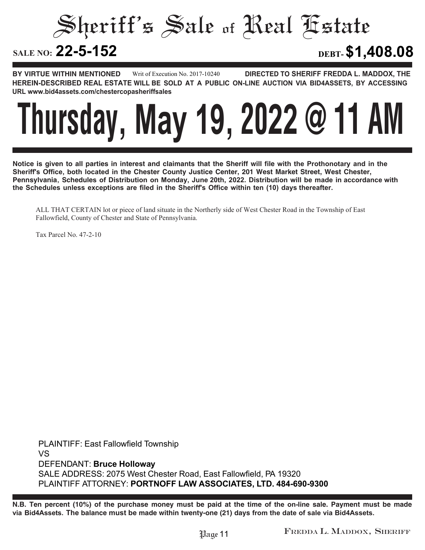Sheriff's Sale of Real Estate

**22-5-152 DEBT-\$1,408.08**

**BY VIRTUE WITHIN MENTIONED DIRECTED TO SHERIFF FREDDA L. MADDOX, THE HEREIN-DESCRIBED REAL ESTATE WILL BE SOLD AT A PUBLIC ON-LINE AUCTION VIA BID4ASSETS, BY ACCESSING URL www.bid4assets.com/chestercopasheriffsales Writ of Execution No. 2017-10240**



**Notice is given to all parties in interest and claimants that the Sheriff will file with the Prothonotary and in the Sheriff's Office, both located in the Chester County Justice Center, 201 West Market Street, West Chester, Pennsylvania, Schedules of Distribution on Monday, June 20th, 2022. Distribution will be made in accordance with the Schedules unless exceptions are filed in the Sheriff's Office within ten (10) days thereafter.**

ALL THAT CERTAIN lot or piece of land situate in the Northerly side of West Chester Road in the Township of East Fallowfield, County of Chester and State of Pennsylvania.

Tax Parcel No. 47-2-10

**PLAINTIFF: East Fallowfield Township VS DEFENDANT: Bruce Holloway SALE ADDRESS: 2075 West Chester Road, East Fallowfield, PA 19320 PLAINTIFF ATTORNEY: PORTNOFF LAW ASSOCIATES, LTD. 484-690-9300**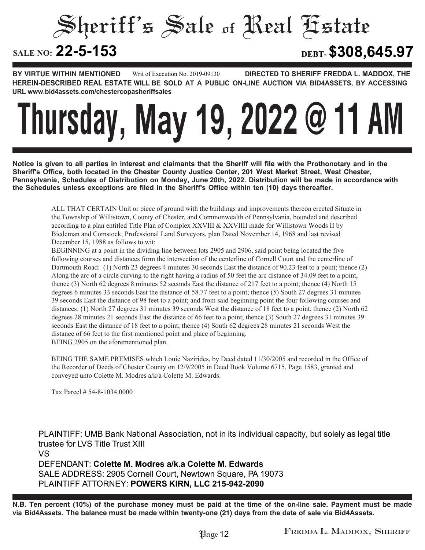#### SALE NO: 22-5-153

**22-5-153 DEBT-\$308,645.97**

**BY VIRTUE WITHIN MENTIONED DIRECTED TO SHERIFF FREDDA L. MADDOX, THE HEREIN-DESCRIBED REAL ESTATE WILL BE SOLD AT A PUBLIC ON-LINE AUCTION VIA BID4ASSETS, BY ACCESSING URL www.bid4assets.com/chestercopasheriffsales Writ of Execution No. 2019-09130**

# **Thursday, May 19, 2022 @ 11 AM**

**Notice is given to all parties in interest and claimants that the Sheriff will file with the Prothonotary and in the Sheriff's Office, both located in the Chester County Justice Center, 201 West Market Street, West Chester, Pennsylvania, Schedules of Distribution on Monday, June 20th, 2022. Distribution will be made in accordance with the Schedules unless exceptions are filed in the Sheriff's Office within ten (10) days thereafter.**

ALL THAT CERTAIN Unit or piece of ground with the buildings and improvements thereon erected Situate in the Township of Willistown, County of Chester, and Commonwealth of Pennsylvania, bounded and described according to a plan entitled Title Plan of Complex XXVIII & XXVIIII made for Willistown Woods II by Biedeman and Comstock, Professional Land Surveyors, plan Dated November 14, 1968 and last revised December 15, 1988 as follows to wit:

BEGINNING at a point in the dividing line between lots 2905 and 2906, said point being located the five following courses and distances form the intersection of the centerline of Cornell Court and the centerline of Dartmouth Road: (1) North 23 degrees 4 minutes 30 seconds East the distance of 90.23 feet to a point; thence (2) Along the arc of a circle curving to the right having a radius of 50 feet the arc distance of 34.09 feet to a point, thence (3) North 62 degrees 8 minutes 52 seconds East the distance of 217 feet to a point; thence (4) North 15 degrees 6 minutes 33 seconds East the distance of 58.77 feet to a point; thence (5) South 27 degrees 31 minutes 39 seconds East the distance of 98 feet to a point; and from said beginning point the four following courses and distances: (1) North 27 degrees 31 minutes 39 seconds West the distance of 18 feet to a point, thence (2) North 62 degrees 28 minutes 21 seconds East the distance of 66 feet to a point; thence (3) South 27 degrees 31 minutes 39 seconds East the distance of 18 feet to a point; thence (4) South 62 degrees 28 minutes 21 seconds West the distance of 66 feet to the first mentioned point and place of beginning. BEING 2905 on the aforementioned plan.

BEING THE SAME PREMISES which Louie Nazirides, by Deed dated 11/30/2005 and recorded in the Office of the Recorder of Deeds of Chester County on 12/9/2005 in Deed Book Volume 6715, Page 1583, granted and conveyed unto Colette M. Modres a/k/a Colette M. Edwards.

Tax Parcel # 54-8-1034.0000

**PLAINTIFF: UMB Bank National Association, not in its individual capacity, but solely as legal title trustee for LVS Title Trust XIII VS DEFENDANT: Colette M. Modres a/k.a Colette M. Edwards SALE ADDRESS: 2905 Cornell Court, Newtown Square, PA 19073 PLAINTIFF ATTORNEY: POWERS KIRN, LLC 215-942-2090**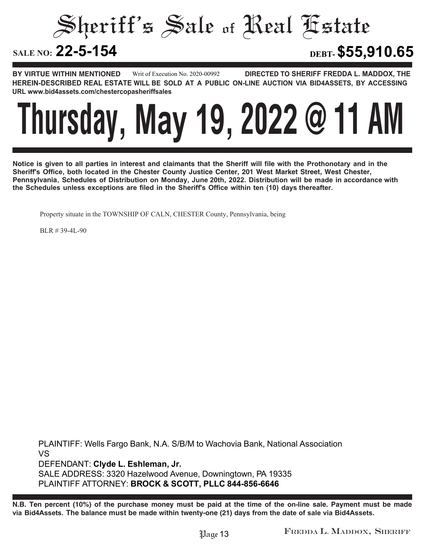Sheriff's Sale of Real Estate

**22-5-154 DEBT-\$55,910.65**

**BY VIRTUE WITHIN MENTIONED DIRECTED TO SHERIFF FREDDA L. MADDOX, THE HEREIN-DESCRIBED REAL ESTATE WILL BE SOLD AT A PUBLIC ON-LINE AUCTION VIA BID4ASSETS, BY ACCESSING URL www.bid4assets.com/chestercopasheriffsales Writ of Execution No. 2020-00992**



**Notice is given to all parties in interest and claimants that the Sheriff will file with the Prothonotary and in the Sheriff's Office, both located in the Chester County Justice Center, 201 West Market Street, West Chester, Pennsylvania, Schedules of Distribution on Monday, June 20th, 2022. Distribution will be made in accordance with the Schedules unless exceptions are filed in the Sheriff's Office within ten (10) days thereafter.**

Property situate in the TOWNSHIP OF CALN, CHESTER County, Pennsylvania, being

BLR # 39-4L-90

**PLAINTIFF: Wells Fargo Bank, N.A. S/B/M to Wachovia Bank, National Association VS DEFENDANT: Clyde L. Eshleman, Jr. SALE ADDRESS: 3320 Hazelwood Avenue, Downingtown, PA 19335 PLAINTIFF ATTORNEY: BROCK & SCOTT, PLLC 844-856-6646**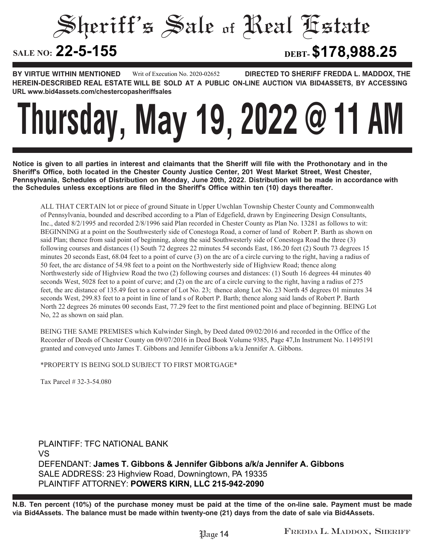#### Sheriff's Sale of Real Estate SALE NO: 22-5-155 **22-5-155 DEBT-\$178,988.25**

**BY VIRTUE WITHIN MENTIONED DIRECTED TO SHERIFF FREDDA L. MADDOX, THE HEREIN-DESCRIBED REAL ESTATE WILL BE SOLD AT A PUBLIC ON-LINE AUCTION VIA BID4ASSETS, BY ACCESSING URL www.bid4assets.com/chestercopasheriffsales Writ of Execution No. 2020-02652**

# **Thursday, May 19, 2022 @ 11 AM**

**Notice is given to all parties in interest and claimants that the Sheriff will file with the Prothonotary and in the Sheriff's Office, both located in the Chester County Justice Center, 201 West Market Street, West Chester, Pennsylvania, Schedules of Distribution on Monday, June 20th, 2022. Distribution will be made in accordance with the Schedules unless exceptions are filed in the Sheriff's Office within ten (10) days thereafter.**

ALL THAT CERTAIN lot or piece of ground Situate in Upper Uwchlan Township Chester County and Commonwealth of Pennsylvania, bounded and described according to a Plan of Edgefield, drawn by Engineering Design Consultants, Inc., dated 8/2/1995 and recorded 2/8/1996 said Plan recorded in Chester County as Plan No. 13281 as follows to wit: BEGINNING at a point on the Southwesterly side of Conestoga Road, a corner of land of Robert P. Barth as shown on said Plan; thence from said point of beginning, along the said Southwesterly side of Conestoga Road the three (3) following courses and distances (1) South 72 degrees 22 minutes 54 seconds East, 186.20 feet (2) South 73 degrees 15 minutes 20 seconds East, 68.04 feet to a point of curve (3) on the arc of a circle curving to the right, having a radius of 50 feet, the arc distance of 54.98 feet to a point on the Northwesterly side of Highview Road; thence along Northwesterly side of Highview Road the two (2) following courses and distances: (1) South 16 degrees 44 minutes 40 seconds West, 5028 feet to a point of curve; and (2) on the arc of a circle curving to the right, having a radius of 275 feet, the arc distance of 135.49 feet to a corner of Lot No. 23; thence along Lot No. 23 North 45 degrees 01 minutes 34 seconds West, 299.83 feet to a point in line of land s of Robert P. Barth; thence along said lands of Robert P. Barth North 22 degrees 26 minutes 00 seconds East, 77.29 feet to the first mentioned point and place of beginning. BEING Lot No, 22 as shown on said plan.

BEING THE SAME PREMISES which Kulwinder Singh, by Deed dated 09/02/2016 and recorded in the Office of the Recorder of Deeds of Chester County on 09/07/2016 in Deed Book Volume 9385, Page 47,In Instrument No. 11495191 granted and conveyed unto James T. Gibbons and Jennifer Gibbons a/k/a Jennifer A. Gibbons.

\*PROPERTY IS BEING SOLD SUBJECT TO FIRST MORTGAGE\*

Tax Parcel # 32-3-54.080

**PLAINTIFF: TFC NATIONAL BANK VS DEFENDANT: James T. Gibbons & Jennifer Gibbons a/k/a Jennifer A. Gibbons SALE ADDRESS: 23 Highview Road, Downingtown, PA 19335 PLAINTIFF ATTORNEY: POWERS KIRN, LLC 215-942-2090**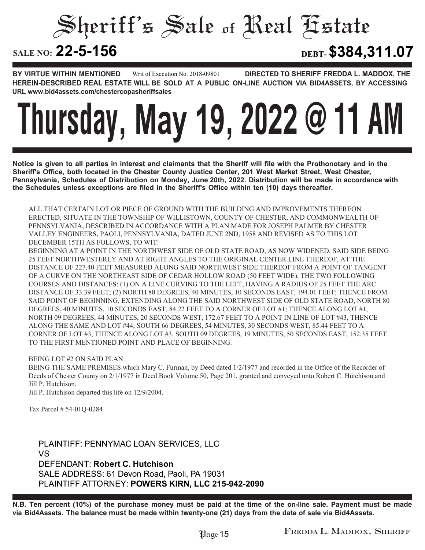Sheriff's Sale of Real Estate

**22-5-156 DEBT-\$384,311.07**

**BY VIRTUE WITHIN MENTIONED DIRECTED TO SHERIFF FREDDA L. MADDOX, THE HEREIN-DESCRIBED REAL ESTATE WILL BE SOLD AT A PUBLIC ON-LINE AUCTION VIA BID4ASSETS, BY ACCESSING URL www.bid4assets.com/chestercopasheriffsales Writ of Execution No. 2018-09801**

# **Thursday, May 19, 2022 @ 11 AM**

**Notice is given to all parties in interest and claimants that the Sheriff will file with the Prothonotary and in the Sheriff's Office, both located in the Chester County Justice Center, 201 West Market Street, West Chester, Pennsylvania, Schedules of Distribution on Monday, June 20th, 2022. Distribution will be made in accordance with the Schedules unless exceptions are filed in the Sheriff's Office within ten (10) days thereafter.**

ALL THAT CERTAIN LOT OR PIECE OF GROUND WITH THE BUILDING AND IMPROVEMENTS THEREON ERECTED, SITUATE IN THE TOWNSHIP OF WILLISTOWN, COUNTY OF CHESTER, AND COMMONWEALTH OF PENNSYLVANIA, DESCRIBED IN ACCORDANCE WITH A PLAN MADE FOR JOSEPH PALMER BY CHESTER VALLEY ENGINEERS, PAOLI, PENNSYLVANIA, DATED JUNE 2ND, 1958 AND REVISED AS TO THIS LOT DECEMBER 15TH AS FOLLOWS, TO WIT:

BEGINNING AT A POINT IN THE NORTHWEST SIDE OF OLD STATE ROAD, AS NOW WIDENED, SAID SIDE BEING 25 FEET NORTHWESTERLY AND AT RIGHT ANGLES TO THE ORIGINAL CENTER LINE THEREOF, AT THE DISTANCE OF 227.40 FEET MEASURED ALONG SAID NORTHWEST SIDE THEREOF FROM A POINT OF TANGENT OF A CURVE ON THE NORTHEAST SIDE OF CEDAR HOLLOW ROAD (50 FEET WIDE), THE TWO FOLLOWING COURSES AND DISTANCES: (1) ON A LINE CURVING TO THE LEFT, HAVING A RADIUS OF 25 FEET THE ARC DISTANCE OF 33.39 FEET; (2) NORTH 80 DEGREES, 40 MINUTES, 10 SECONDS EAST, 194.01 FEET; THENCE FROM SAID POINT OF BEGINNING, EXTENDING ALONG THE SAID NORTHWEST SIDE OF OLD STATE ROAD, NORTH 80 DEGREES, 40 MINUTES, 10 SECONDS EAST. 84.22 FEET TO A CORNER OF LOT #1; THENCE ALONG LOT #1, NORTH 09 DEGREES, 44 MINUTES, 20 SECONDS WEST, 172.67 FEET TO A POINT IN LINE OF LOT #43, THENCE ALONG THE SAME AND LOT #44, SOUTH 66 DEGREES, 54 MINUTES, 30 SECONDS WEST, 85.44 FEET TO A CORNER OF LOT #3, THENCE ALONG LOT #3, SOUTH 09 DEGREES, 19 MINUTES, 50 SECONDS EAST, 152.35 FEET TO THE FIRST MENTIONED POINT AND PLACE OF BEGINNING.

BEING LOT #2 ON SAID PLAN.

BEING THE SAME PREMISES which Mary C. Furman, by Deed dated 1/2/1977 and recorded in the Office of the Recorder of Deeds of Chester County on 2/1/1977 in Deed Book Volume 50, Page 201, granted and conveyed unto Robert C. Hutchison and Jill P. Hutchison.

Jill P. Hutchison departed this life on 12/9/2004.

Tax Parcel # 54-01Q-0284

**PLAINTIFF: PENNYMAC LOAN SERVICES, LLC VS DEFENDANT: Robert C. Hutchison SALE ADDRESS: 61 Devon Road, Paoli, PA 19031 PLAINTIFF ATTORNEY: POWERS KIRN, LLC 215-942-2090**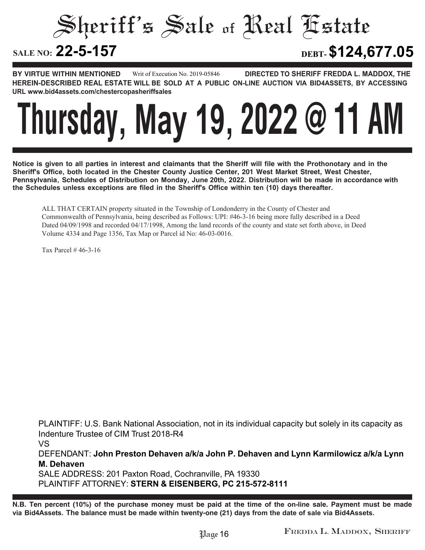#### Sheriff's Sale of Real Estate SALE NO: 22-5-157 **22-5-157 DEBT-\$124,677.05**

**BY VIRTUE WITHIN MENTIONED DIRECTED TO SHERIFF FREDDA L. MADDOX, THE HEREIN-DESCRIBED REAL ESTATE WILL BE SOLD AT A PUBLIC ON-LINE AUCTION VIA BID4ASSETS, BY ACCESSING URL www.bid4assets.com/chestercopasheriffsales Writ of Execution No. 2019-05846**



**Notice is given to all parties in interest and claimants that the Sheriff will file with the Prothonotary and in the Sheriff's Office, both located in the Chester County Justice Center, 201 West Market Street, West Chester, Pennsylvania, Schedules of Distribution on Monday, June 20th, 2022. Distribution will be made in accordance with the Schedules unless exceptions are filed in the Sheriff's Office within ten (10) days thereafter.**

ALL THAT CERTAIN property situated in the Township of Londonderry in the County of Chester and Commonwealth of Pennsylvania, being described as Follows: UPI: #46-3-16 being more fully described in a Deed Dated 04/09/1998 and recorded 04/17/1998, Among the land records of the county and state set forth above, in Deed Volume 4334 and Page 1356, Tax Map or Parcel id No: 46-03-0016.

Tax Parcel # 46-3-16

**PLAINTIFF: U.S. Bank National Association, not in its individual capacity but solely in its capacity as Indenture Trustee of CIM Trust 2018-R4 VS DEFENDANT: John Preston Dehaven a/k/a John P. Dehaven and Lynn Karmilowicz a/k/a Lynn M. Dehaven**

**SALE ADDRESS: 201 Paxton Road, Cochranville, PA 19330 PLAINTIFF ATTORNEY: STERN & EISENBERG, PC 215-572-8111**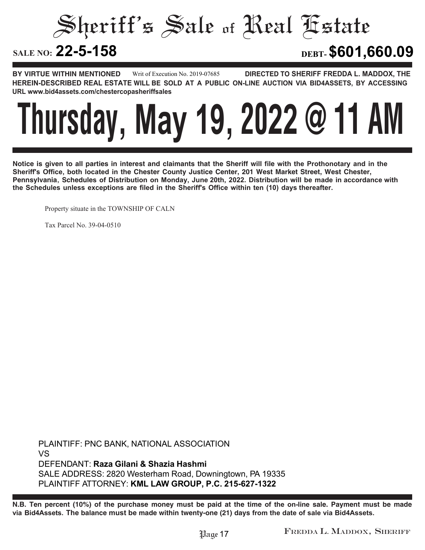Sheriff's Sale of Real Estate

**22-5-158 DEBT-\$601,660.09**

**BY VIRTUE WITHIN MENTIONED DIRECTED TO SHERIFF FREDDA L. MADDOX, THE HEREIN-DESCRIBED REAL ESTATE WILL BE SOLD AT A PUBLIC ON-LINE AUCTION VIA BID4ASSETS, BY ACCESSING URL www.bid4assets.com/chestercopasheriffsales Writ of Execution No. 2019-07685**



**Notice is given to all parties in interest and claimants that the Sheriff will file with the Prothonotary and in the Sheriff's Office, both located in the Chester County Justice Center, 201 West Market Street, West Chester, Pennsylvania, Schedules of Distribution on Monday, June 20th, 2022. Distribution will be made in accordance with the Schedules unless exceptions are filed in the Sheriff's Office within ten (10) days thereafter.**

Property situate in the TOWNSHIP OF CALN

Tax Parcel No. 39-04-0510

**PLAINTIFF: PNC BANK, NATIONAL ASSOCIATION VS DEFENDANT: Raza Gilani & Shazia Hashmi SALE ADDRESS: 2820 Westerham Road, Downingtown, PA 19335 PLAINTIFF ATTORNEY: KML LAW GROUP, P.C. 215-627-1322**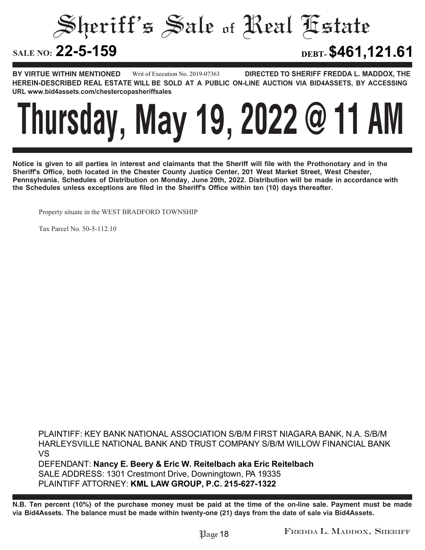Sheriff's Sale of Real Estate

**22-5-159 DEBT-\$461,121.61**

**BY VIRTUE WITHIN MENTIONED DIRECTED TO SHERIFF FREDDA L. MADDOX, THE HEREIN-DESCRIBED REAL ESTATE WILL BE SOLD AT A PUBLIC ON-LINE AUCTION VIA BID4ASSETS, BY ACCESSING URL www.bid4assets.com/chestercopasheriffsales Writ of Execution No. 2019-07363**



**Notice is given to all parties in interest and claimants that the Sheriff will file with the Prothonotary and in the Sheriff's Office, both located in the Chester County Justice Center, 201 West Market Street, West Chester, Pennsylvania, Schedules of Distribution on Monday, June 20th, 2022. Distribution will be made in accordance with the Schedules unless exceptions are filed in the Sheriff's Office within ten (10) days thereafter.**

Property situate in the WEST BRADFORD TOWNSHIP

Tax Parcel No. 50-5-112.10

**PLAINTIFF: KEY BANK NATIONAL ASSOCIATION S/B/M FIRST NIAGARA BANK, N.A. S/B/M HARLEYSVILLE NATIONAL BANK AND TRUST COMPANY S/B/M WILLOW FINANCIAL BANK VS DEFENDANT: Nancy E. Beery & Eric W. Reitelbach aka Eric Reitelbach SALE ADDRESS: 1301 Crestmont Drive, Downingtown, PA 19335 PLAINTIFF ATTORNEY: KML LAW GROUP, P.C. 215-627-1322**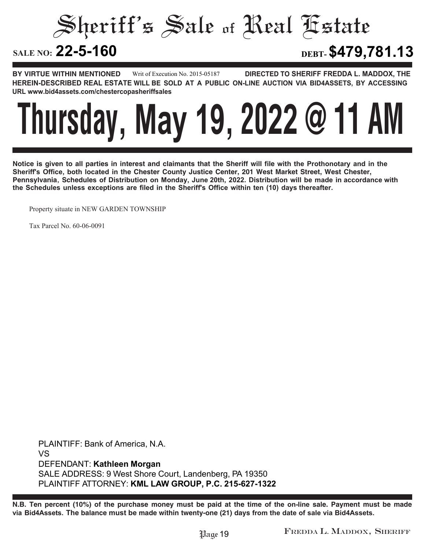Sheriff's Sale of Real Estate

**22-5-160 DEBT-\$479,781.13**

**BY VIRTUE WITHIN MENTIONED DIRECTED TO SHERIFF FREDDA L. MADDOX, THE HEREIN-DESCRIBED REAL ESTATE WILL BE SOLD AT A PUBLIC ON-LINE AUCTION VIA BID4ASSETS, BY ACCESSING URL www.bid4assets.com/chestercopasheriffsales Writ of Execution No. 2015-05187**



**Notice is given to all parties in interest and claimants that the Sheriff will file with the Prothonotary and in the Sheriff's Office, both located in the Chester County Justice Center, 201 West Market Street, West Chester, Pennsylvania, Schedules of Distribution on Monday, June 20th, 2022. Distribution will be made in accordance with the Schedules unless exceptions are filed in the Sheriff's Office within ten (10) days thereafter.**

Property situate in NEW GARDEN TOWNSHIP

Tax Parcel No. 60-06-0091

**PLAINTIFF: Bank of America, N.A. VS DEFENDANT: Kathleen Morgan SALE ADDRESS: 9 West Shore Court, Landenberg, PA 19350 PLAINTIFF ATTORNEY: KML LAW GROUP, P.C. 215-627-1322**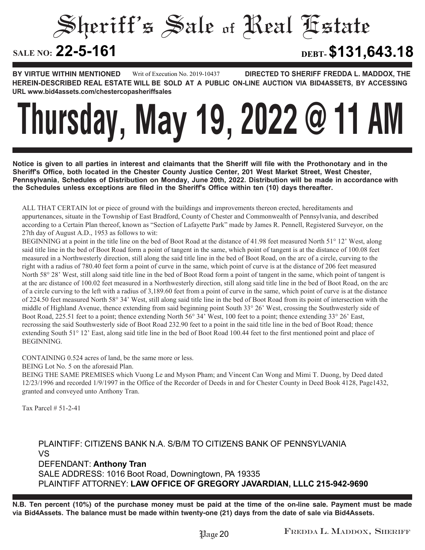#### Sheriff's Sale of Real Estate **SALE NO: 22-5-161 22-5-161 DEBT-\$131,643.18**

**BY VIRTUE WITHIN MENTIONED DIRECTED TO SHERIFF FREDDA L. MADDOX, THE HEREIN-DESCRIBED REAL ESTATE WILL BE SOLD AT A PUBLIC ON-LINE AUCTION VIA BID4ASSETS, BY ACCESSING URL www.bid4assets.com/chestercopasheriffsales Writ of Execution No. 2019-10437**

# **Thursday, May 19, 2022 @ 11 AM**

**Notice is given to all parties in interest and claimants that the Sheriff will file with the Prothonotary and in the Sheriff's Office, both located in the Chester County Justice Center, 201 West Market Street, West Chester, Pennsylvania, Schedules of Distribution on Monday, June 20th, 2022. Distribution will be made in accordance with the Schedules unless exceptions are filed in the Sheriff's Office within ten (10) days thereafter.**

ALL THAT CERTAIN lot or piece of ground with the buildings and improvements thereon erected, hereditaments and appurtenances, situate in the Township of East Bradford, County of Chester and Commonwealth of Pennsylvania, and described according to a Certain Plan thereof, known as "Section of Lafayette Park" made by James R. Pennell, Registered Surveyor, on the 27th day of August A.D., 1953 as follows to wit:

BEGINNING at a point in the title line on the bed of Boot Road at the distance of 41.98 feet measured North 51° 12' West, along said title line in the bed of Boot Road form a point of tangent in the same, which point of tangent is at the distance of 100.08 feet measured in a Northwesterly direction, still along the said title line in the bed of Boot Road, on the arc of a circle, curving to the right with a radius of 780.40 feet form a point of curve in the same, which point of curve is at the distance of 206 feet measured North 58° 28' West, still along said title line in the bed of Boot Road form a point of tangent in the same, which point of tangent is at the arc distance of 100.02 feet measured in a Northwesterly direction, still along said title line in the bed of Boot Road, on the arc of a circle curving to the left with a radius of 3,189.60 feet from a point of curve in the same, which point of curve is at the distance of 224.50 feet measured North 58° 34' West, still along said title line in the bed of Boot Road from its point of intersection with the middle of Highland Avenue, thence extending from said beginning point South 33° 26' West, crossing the Southwesterly side of Boot Road, 225.51 feet to a point; thence extending North 56° 34' West, 100 feet to a point; thence extending 33° 26' East, recrossing the said Southwesterly side of Boot Road 232.90 feet to a point in the said title line in the bed of Boot Road; thence extending South 51° 12' East, along said title line in the bed of Boot Road 100.44 feet to the first mentioned point and place of BEGINNING.

CONTAINING 0.524 acres of land, be the same more or less.

BEING Lot No. 5 on the aforesaid Plan.

BEING THE SAME PREMISES which Vuong Le and Myson Pham; and Vincent Can Wong and Mimi T. Duong, by Deed dated 12/23/1996 and recorded 1/9/1997 in the Office of the Recorder of Deeds in and for Chester County in Deed Book 4128, Page1432, granted and conveyed unto Anthony Tran.

Tax Parcel # 51-2-41

**PLAINTIFF: CITIZENS BANK N.A. S/B/M TO CITIZENS BANK OF PENNSYLVANIA VS DEFENDANT: Anthony Tran SALE ADDRESS: 1016 Boot Road, Downingtown, PA 19335 PLAINTIFF ATTORNEY: LAW OFFICE OF GREGORY JAVARDIAN, LLLC 215-942-9690**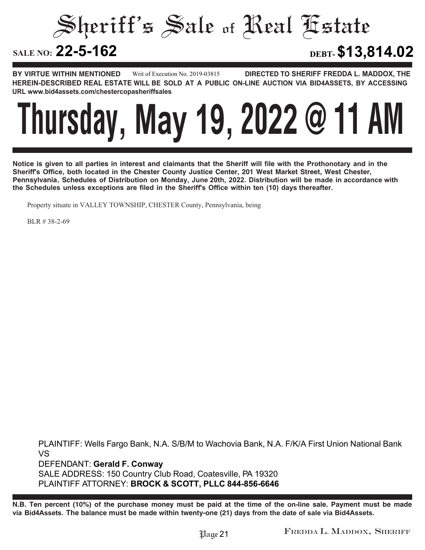Sheriff's Sale of Real Estate

**22-5-162 DEBT-\$13,814.02**

**BY VIRTUE WITHIN MENTIONED DIRECTED TO SHERIFF FREDDA L. MADDOX, THE HEREIN-DESCRIBED REAL ESTATE WILL BE SOLD AT A PUBLIC ON-LINE AUCTION VIA BID4ASSETS, BY ACCESSING URL www.bid4assets.com/chestercopasheriffsales Writ of Execution No. 2019-03815**



**Notice is given to all parties in interest and claimants that the Sheriff will file with the Prothonotary and in the Sheriff's Office, both located in the Chester County Justice Center, 201 West Market Street, West Chester, Pennsylvania, Schedules of Distribution on Monday, June 20th, 2022. Distribution will be made in accordance with the Schedules unless exceptions are filed in the Sheriff's Office within ten (10) days thereafter.**

Property situate in VALLEY TOWNSHIP, CHESTER County, Pennsylvania, being

BLR # 38-2-69

**PLAINTIFF: Wells Fargo Bank, N.A. S/B/M to Wachovia Bank, N.A. F/K/A First Union National Bank VS DEFENDANT: Gerald F. Conway SALE ADDRESS: 150 Country Club Road, Coatesville, PA 19320 PLAINTIFF ATTORNEY: BROCK & SCOTT, PLLC 844-856-6646**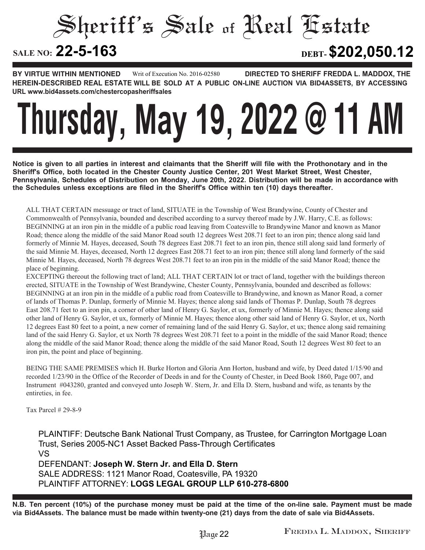#### SALE NO: 22-5-163

**22-5-163 DEBT-\$202,050.12**

**BY VIRTUE WITHIN MENTIONED DIRECTED TO SHERIFF FREDDA L. MADDOX, THE HEREIN-DESCRIBED REAL ESTATE WILL BE SOLD AT A PUBLIC ON-LINE AUCTION VIA BID4ASSETS, BY ACCESSING URL www.bid4assets.com/chestercopasheriffsales Writ of Execution No. 2016-02580**

## **Thursday, May 19, 2022 @ 11 AM**

**Notice is given to all parties in interest and claimants that the Sheriff will file with the Prothonotary and in the Sheriff's Office, both located in the Chester County Justice Center, 201 West Market Street, West Chester, Pennsylvania, Schedules of Distribution on Monday, June 20th, 2022. Distribution will be made in accordance with the Schedules unless exceptions are filed in the Sheriff's Office within ten (10) days thereafter.**

ALL THAT CERTAIN messuage or tract of land, SITUATE in the Township of West Brandywine, County of Chester and Commonwealth of Pennsylvania, bounded and described according to a survey thereof made by J.W. Harry, C.E. as follows: BEGINNING at an iron pin in the middle of a public road leaving from Coatesville to Brandywine Manor and known as Manor Road; thence along the middle of the said Manor Road south 12 degrees West 208.71 feet to an iron pin; thence along said land formerly of Minnie M. Hayes, deceased, South 78 degrees East 208.71 feet to an iron pin, thence still along said land formerly of the said Minnie M. Hayes, deceased, North 12 degrees East 208.71 feet to an iron pin; thence still along land formerly of the said Minnie M. Hayes, deceased, North 78 degrees West 208.71 feet to an iron pin in the middle of the said Manor Road; thence the place of beginning.

EXCEPTING thereout the following tract of land; ALL THAT CERTAIN lot or tract of land, together with the buildings thereon erected, SITUATE in the Township of West Brandywine, Chester County, Pennsylvania, bounded and described as follows: BEGINNING at an iron pin in the middle of a public road from Coatesville to Brandywine, and known as Manor Road, a corner of lands of Thomas P. Dunlap, formerly of Minnie M. Hayes; thence along said lands of Thomas P. Dunlap, South 78 degrees East 208.71 feet to an iron pin, a corner of other land of Henry G. Saylor, et ux, formerly of Minnie M. Hayes; thence along said other land of Henry G. Saylor, et ux, formerly of Minnie M. Hayes; thence along other said land of Henry G. Saylor, et ux, North 12 degrees East 80 feet to a point, a new corner of remaining land of the said Henry G. Saylor, et ux; thence along said remaining land of the said Henry G. Saylor, et ux North 78 degrees West 208.71 feet to a point in the middle of the said Manor Road; thence along the middle of the said Manor Road; thence along the middle of the said Manor Road, South 12 degrees West 80 feet to an iron pin, the point and place of beginning.

BEING THE SAME PREMISES which H. Burke Horton and Gloria Ann Horton, husband and wife, by Deed dated 1/15/90 and recorded 1/23/90 in the Office of the Recorder of Deeds in and for the County of Chester, in Deed Book 1860, Page 007, and Instrument #043280, granted and conveyed unto Joseph W. Stern, Jr. and Ella D. Stern, husband and wife, as tenants by the entireties, in fee.

Tax Parcel # 29-8-9

**PLAINTIFF: Deutsche Bank National Trust Company, as Trustee, for Carrington Mortgage Loan Trust, Series 2005-NC1 Asset Backed Pass-Through Certificates VS DEFENDANT: Joseph W. Stern Jr. and Ella D. Stern SALE ADDRESS: 1121 Manor Road, Coatesville, PA 19320 PLAINTIFF ATTORNEY: LOGS LEGAL GROUP LLP 610-278-6800**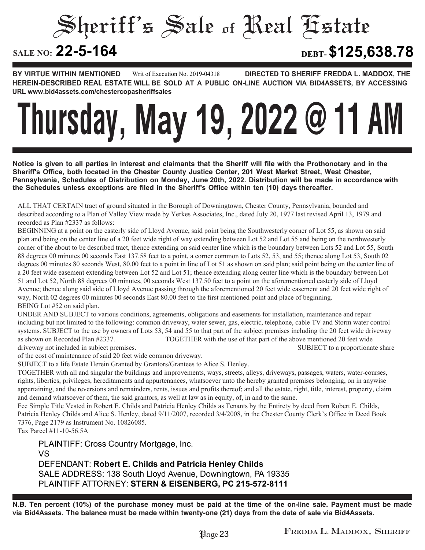#### **SALE NO: 22-5-164**

**22-5-164 DEBT-\$125,638.78**

**BY VIRTUE WITHIN MENTIONED DIRECTED TO SHERIFF FREDDA L. MADDOX, THE HEREIN-DESCRIBED REAL ESTATE WILL BE SOLD AT A PUBLIC ON-LINE AUCTION VIA BID4ASSETS, BY ACCESSING URL www.bid4assets.com/chestercopasheriffsales Writ of Execution No. 2019-04318**

# **Thursday, May 19, 2022 @ 11 AM**

**Notice is given to all parties in interest and claimants that the Sheriff will file with the Prothonotary and in the Sheriff's Office, both located in the Chester County Justice Center, 201 West Market Street, West Chester, Pennsylvania, Schedules of Distribution on Monday, June 20th, 2022. Distribution will be made in accordance with the Schedules unless exceptions are filed in the Sheriff's Office within ten (10) days thereafter.**

ALL THAT CERTAIN tract of ground situated in the Borough of Downingtown, Chester County, Pennsylvania, bounded and described according to a Plan of Valley View made by Yerkes Associates, Inc., dated July 20, 1977 last revised April 13, 1979 and recorded as Plan #2337 as follows:

BEGINNING at a point on the easterly side of Lloyd Avenue, said point being the Southwesterly corner of Lot 55, as shown on said plan and being on the center line of a 20 feet wide right of way extending between Lot 52 and Lot 55 and being on the northwesterly corner of the about to be described tract, thence extending on said center line which is the boundary between Lots 52 and Lot 55, South 88 degrees 00 minutes 00 seconds East 137.58 feet to a point, a corner common to Lots 52, 53, and 55; thence along Lot 53, South 02 degrees 00 minutes 80 seconds West, 80.00 feet to a point in line of Lot 51 as shown on said plan; said point being on the center line of a 20 feet wide easement extending between Lot 52 and Lot 51; thence extending along center line which is the boundary between Lot 51 and Lot 52, North 88 degrees 00 minutes, 00 seconds West 137.50 feet to a point on the aforementioned easterly side of Lloyd Avenue; thence along said side of Lloyd Avenue passing through the aforementioned 20 feet wide easement and 20 feet wide right of way, North 02 degrees 00 minutes 00 seconds East 80.00 feet to the first mentioned point and place of beginning. BEING Lot #52 on said plan.

UNDER AND SUBJECT to various conditions, agreements, obligations and easements for installation, maintenance and repair including but not limited to the following: common driveway, water sewer, gas, electric, telephone, cable TV and Storm water control systems. SUBJECT to the use by owners of Lots 53, 54 and 55 to that part of the subject premises including the 20 feet wide driveway as shown on Recorded Plan #2337. TOGETHER with the use of that part of the above mentioned 20 feet wide driveway not included in subject premises. SUBJECT to a proportionate share

of the cost of maintenance of said 20 feet wide common driveway.

SUBJECT to a life Estate Herein Granted by Grantors/Grantees to Alice S. Henley.

TOGETHER with all and singular the buildings and improvements, ways, streets, alleys, driveways, passages, waters, water-courses, rights, liberties, privileges, hereditaments and appurtenances, whatsoever unto the hereby granted premises belonging, on in anywise appertaining, and the reversions and remainders, rents, issues and profits thereof; and all the estate, right, title, interest, property, claim and demand whatsoever of them, the said grantors, as well at law as in equity, of, in and to the same.

Fee Simple Title Vested in Robert E. Childs and Patricia Henley Childs as Tenants by the Entirety by deed from Robert E. Childs, Patricia Henley Childs and Alice S. Henley, dated 9/11/2007, recorded 3/4/2008, in the Chester County Clerk's Office in Deed Book 7376, Page 2179 as Instrument No. 10826085.

Tax Parcel #11-10-56.5A

**PLAINTIFF: Cross Country Mortgage, Inc. VS DEFENDANT: Robert E. Childs and Patricia Henley Childs SALE ADDRESS: 138 South Lloyd Avenue, Downingtown, PA 19335 PLAINTIFF ATTORNEY: STERN & EISENBERG, PC 215-572-8111**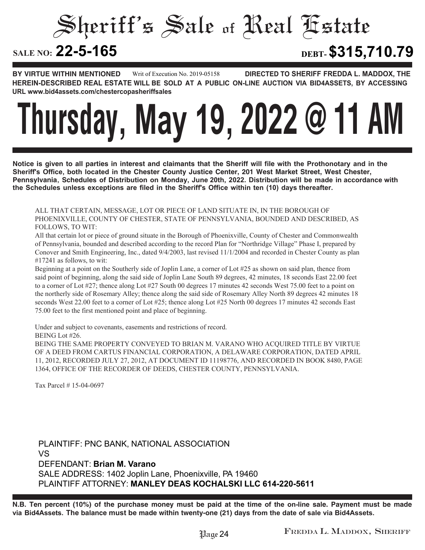#### **SALE NO: 22-5-165**

**22-5-165 DEBT-\$315,710.79**

**BY VIRTUE WITHIN MENTIONED DIRECTED TO SHERIFF FREDDA L. MADDOX, THE HEREIN-DESCRIBED REAL ESTATE WILL BE SOLD AT A PUBLIC ON-LINE AUCTION VIA BID4ASSETS, BY ACCESSING URL www.bid4assets.com/chestercopasheriffsales Writ of Execution No. 2019-05158**

# **Thursday, May 19, 2022 @ 11 AM**

**Notice is given to all parties in interest and claimants that the Sheriff will file with the Prothonotary and in the Sheriff's Office, both located in the Chester County Justice Center, 201 West Market Street, West Chester, Pennsylvania, Schedules of Distribution on Monday, June 20th, 2022. Distribution will be made in accordance with the Schedules unless exceptions are filed in the Sheriff's Office within ten (10) days thereafter.**

ALL THAT CERTAIN, MESSAGE, LOT OR PIECE OF LAND SITUATE IN, IN THE BOROUGH OF PHOENIXVILLE, COUNTY OF CHESTER, STATE OF PENNSYLVANIA, BOUNDED AND DESCRIBED, AS FOLLOWS, TO WIT:

All that certain lot or piece of ground situate in the Borough of Phoenixville, County of Chester and Commonwealth of Pennsylvania, bounded and described according to the record Plan for "Northridge Village" Phase I, prepared by Conover and Smith Engineering, Inc., dated 9/4/2003, last revised 11/1/2004 and recorded in Chester County as plan #17241 as follows, to wit:

Beginning at a point on the Southerly side of Joplin Lane, a corner of Lot #25 as shown on said plan, thence from said point of beginning, along the said side of Joplin Lane South 89 degrees, 42 minutes, 18 seconds East 22.00 feet to a corner of Lot #27; thence along Lot #27 South 00 degrees 17 minutes 42 seconds West 75.00 feet to a point on the northerly side of Rosemary Alley; thence along the said side of Rosemary Alley North 89 degrees 42 minutes 18 seconds West 22.00 feet to a corner of Lot #25; thence along Lot #25 North 00 degrees 17 minutes 42 seconds East 75.00 feet to the first mentioned point and place of beginning.

Under and subject to covenants, easements and restrictions of record.

BEING Lot #26.

BEING THE SAME PROPERTY CONVEYED TO BRIAN M. VARANO WHO ACQUIRED TITLE BY VIRTUE OF A DEED FROM CARTUS FINANCIAL CORPORATION, A DELAWARE CORPORATION, DATED APRIL 11, 2012, RECORDED JULY 27, 2012, AT DOCUMENT ID 11198776, AND RECORDED IN BOOK 8480, PAGE 1364, OFFICE OF THE RECORDER OF DEEDS, CHESTER COUNTY, PENNSYLVANIA.

Tax Parcel # 15-04-0697

**PLAINTIFF: PNC BANK, NATIONAL ASSOCIATION VS DEFENDANT: Brian M. Varano SALE ADDRESS: 1402 Joplin Lane, Phoenixville, PA 19460 PLAINTIFF ATTORNEY: MANLEY DEAS KOCHALSKI LLC 614-220-5611**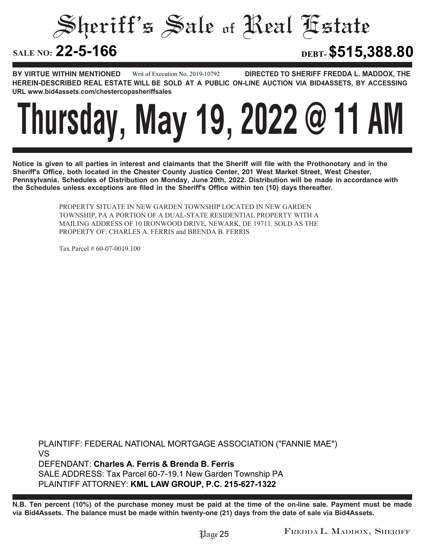Sheriff's Sale of Real Estate

**22-5-166 DEBT-\$515,388.80**

**BY VIRTUE WITHIN MENTIONED DIRECTED TO SHERIFF FREDDA L. MADDOX, THE HEREIN-DESCRIBED REAL ESTATE WILL BE SOLD AT A PUBLIC ON-LINE AUCTION VIA BID4ASSETS, BY ACCESSING URL www.bid4assets.com/chestercopasheriffsales Writ of Execution No. 2019-10792**



**Notice is given to all parties in interest and claimants that the Sheriff will file with the Prothonotary and in the Sheriff's Office, both located in the Chester County Justice Center, 201 West Market Street, West Chester, Pennsylvania, Schedules of Distribution on Monday, June 20th, 2022. Distribution will be made in accordance with the Schedules unless exceptions are filed in the Sheriff's Office within ten (10) days thereafter.**

> PROPERTY SITUATE IN NEW GARDEN TOWNSHIP LOCATED IN NEW GARDEN TOWNSHIP, PA A PORTION OF A DUAL-STATE RESIDENTIAL PROPERTY WITH A MAILING ADDRESS OF 10 IRONWOOD DRIVE, NEWARK, DE 19711. SOLD AS THE PROPERTY OF: CHARLES A. FERRIS and BRENDA B. FERRIS

Tax Parcel # 60-07-0019.100

**PLAINTIFF: FEDERAL NATIONAL MORTGAGE ASSOCIATION ("FANNIE MAE") VS DEFENDANT: Charles A. Ferris & Brenda B. Ferris SALE ADDRESS:** Tax Parcel 60-7-19.1 New Garden Township PA **PLAINTIFF ATTORNEY: KML LAW GROUP, P.C. 215-627-1322**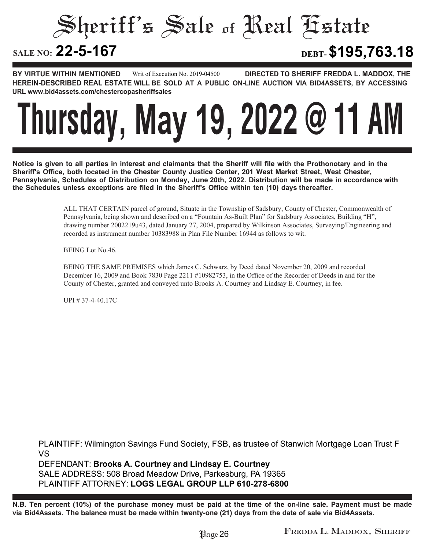#### Sheriff's Sale of Real Estate SALE NO: 22-5-167 **22-5-167 DEBT-\$195,763.18**

**BY VIRTUE WITHIN MENTIONED DIRECTED TO SHERIFF FREDDA L. MADDOX, THE HEREIN-DESCRIBED REAL ESTATE WILL BE SOLD AT A PUBLIC ON-LINE AUCTION VIA BID4ASSETS, BY ACCESSING URL www.bid4assets.com/chestercopasheriffsales Writ of Execution No. 2019-04500**

# **Thursday, May 19, 2022 @ 11 AM**

**Notice is given to all parties in interest and claimants that the Sheriff will file with the Prothonotary and in the Sheriff's Office, both located in the Chester County Justice Center, 201 West Market Street, West Chester, Pennsylvania, Schedules of Distribution on Monday, June 20th, 2022. Distribution will be made in accordance with the Schedules unless exceptions are filed in the Sheriff's Office within ten (10) days thereafter.**

> ALL THAT CERTAIN parcel of ground, Situate in the Township of Sadsbury, County of Chester, Commonwealth of Pennsylvania, being shown and described on a "Fountain As-Built Plan" for Sadsbury Associates, Building "H", drawing number 2002219u43, dated January 27, 2004, prepared by Wilkinson Associates, Surveying/Engineering and recorded as instrument number 10383988 in Plan File Number 16944 as follows to wit.

BEING Lot No.46.

BEING THE SAME PREMISES which James C. Schwarz, by Deed dated November 20, 2009 and recorded December 16, 2009 and Book 7830 Page 2211 #10982753, in the Office of the Recorder of Deeds in and for the County of Chester, granted and conveyed unto Brooks A. Courtney and Lindsay E. Courtney, in fee.

UPI # 37-4-40.17C

**PLAINTIFF: Wilmington Savings Fund Society, FSB, as trustee of Stanwich Mortgage Loan Trust F VS DEFENDANT: Brooks A. Courtney and Lindsay E. Courtney**

**SALE ADDRESS: 508 Broad Meadow Drive, Parkesburg, PA 19365 PLAINTIFF ATTORNEY: LOGS LEGAL GROUP LLP 610-278-6800**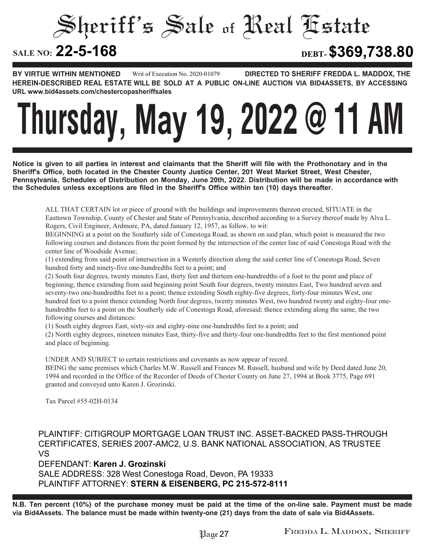Sheriff's Sale of Real Estate

**22-5-168 DEBT-\$369,738.80**

**BY VIRTUE WITHIN MENTIONED DIRECTED TO SHERIFF FREDDA L. MADDOX, THE HEREIN-DESCRIBED REAL ESTATE WILL BE SOLD AT A PUBLIC ON-LINE AUCTION VIA BID4ASSETS, BY ACCESSING URL www.bid4assets.com/chestercopasheriffsales Writ of Execution No. 2020-01079**

## **Thursday, May 19, 2022 @ 11 AM**

**Notice is given to all parties in interest and claimants that the Sheriff will file with the Prothonotary and in the Sheriff's Office, both located in the Chester County Justice Center, 201 West Market Street, West Chester, Pennsylvania, Schedules of Distribution on Monday, June 20th, 2022. Distribution will be made in accordance with the Schedules unless exceptions are filed in the Sheriff's Office within ten (10) days thereafter.**

ALL THAT CERTAIN lot or piece of ground with the buildings and improvements thereon erected, SITUATE in the Easttown Township, County of Chester and State of Pennsylvania, described according to a Survey thereof made by Alva L. Rogers, Civil Engineer, Ardmore, PA, dated January 12, 1957, as follow, to wit:

BEGINNING at a point on the Southerly side of Conestoga Road, as shown on said plan, which point is measured the two following courses and distances from the point formed by the intersection of the center line of said Conestoga Road with the center line of Woodside Avenue;

(1) extending from said point of intersection in a Westerly direction along the said center line of Conestoga Road, Seven hundred forty and ninety-five one-hundredths feet to a point; and

(2) South four degrees, twenty minutes East, thirty feet and thirteen one-hundredths of a foot to the point and place of beginning; thence extending from said beginning point South four degrees, twenty minutes East, Two hundred seven and seventy-two one-hundredths feet to a point; thence extending South eighty-five degrees, forty-four minutes West, one hundred feet to a point thence extending North four degrees, twenty minutes West, two hundred twenty and eighty-four onehundredths feet to a point on the Southerly side of Conestoga Road, aforesaid; thence extending along the same, the two following courses and distances:

(1) South eighty degrees East, sixty-six and eighty-nine one-hundredths feet to a point; and

(2) North eighty degrees, nineteen minutes East, thirty-five and thirty-four one-hundredths feet to the first mentioned point and place of beginning.

UNDER AND SUBJECT to certain restrictions and covenants as now appear of record.

BEING the same premises which Charles M.W. Russell and Frances M. Russell, husband and wife by Deed dated June 20, 1994 and recorded in the Office of the Recorder of Deeds of Chester County on June 27, 1994 at Book 3775, Page 691 granted and conveyed unto Karen J. Grozinski.

Tax Parcel #55-02H-0134

**PLAINTIFF: CITIGROUP MORTGAGE LOAN TRUST INC. ASSET-BACKED PASS-THROUGH CERTIFICATES, SERIES 2007-AMC2, U.S. BANK NATIONAL ASSOCIATION, AS TRUSTEE VS**

**DEFENDANT: Karen J. Grozinski**

**SALE ADDRESS: 328 West Conestoga Road, Devon, PA 19333 PLAINTIFF ATTORNEY: STERN & EISENBERG, PC 215-572-8111**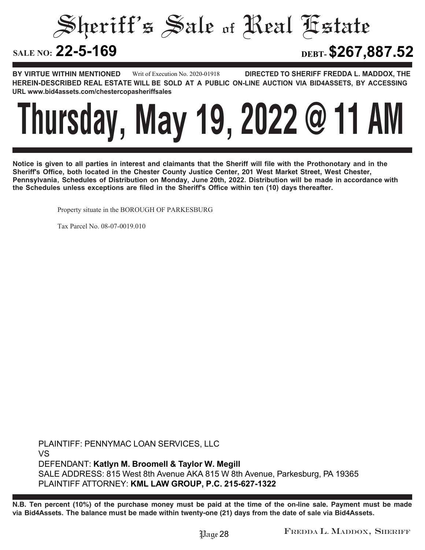Sheriff's Sale of Real Estate

**22-5-169 DEBT-\$267,887.52**

**BY VIRTUE WITHIN MENTIONED DIRECTED TO SHERIFF FREDDA L. MADDOX, THE HEREIN-DESCRIBED REAL ESTATE WILL BE SOLD AT A PUBLIC ON-LINE AUCTION VIA BID4ASSETS, BY ACCESSING URL www.bid4assets.com/chestercopasheriffsales Writ of Execution No. 2020-01918**



**Notice is given to all parties in interest and claimants that the Sheriff will file with the Prothonotary and in the Sheriff's Office, both located in the Chester County Justice Center, 201 West Market Street, West Chester, Pennsylvania, Schedules of Distribution on Monday, June 20th, 2022. Distribution will be made in accordance with the Schedules unless exceptions are filed in the Sheriff's Office within ten (10) days thereafter.**

Property situate in the BOROUGH OF PARKESBURG

Tax Parcel No. 08-07-0019.010

**PLAINTIFF: PENNYMAC LOAN SERVICES, LLC VS DEFENDANT: Katlyn M. Broomell & Taylor W. Megill SALE ADDRESS: 815 West 8th Avenue AKA 815 W 8th Avenue, Parkesburg, PA 19365 PLAINTIFF ATTORNEY: KML LAW GROUP, P.C. 215-627-1322**